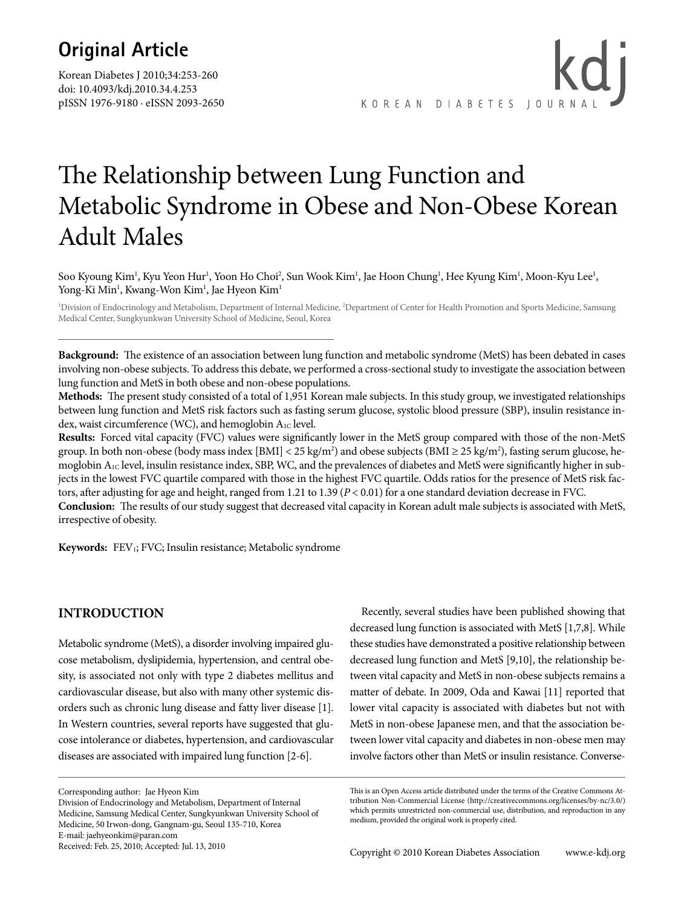## **Original Article**

Korean Diabetes J 2010;34:253-260 doi: 10.4093/kdj.2010.34.4.253 pISSN 1976-9180 · eISSN 2093-2650

kdi KOREAN DIABETES JOURNA

# The Relationship between Lung Function and Metabolic Syndrome in Obese and Non-Obese Korean Adult Males

Soo Kyoung Kim<sup>1</sup>, Kyu Yeon Hur<sup>1</sup>, Yoon Ho Choi<sup>2</sup>, Sun Wook Kim<sup>1</sup>, Jae Hoon Chung<sup>1</sup>, Hee Kyung Kim<sup>1</sup>, Moon-Kyu Lee<sup>1</sup>, Yong-Ki Min<sup>1</sup>, Kwang-Won Kim<sup>1</sup>, Jae Hyeon Kim<sup>1</sup>

1 Division of Endocrinology and Metabolism, Department of Internal Medicine, 2 Department of Center for Health Promotion and Sports Medicine, Samsung Medical Center, Sungkyunkwan University School of Medicine, Seoul, Korea

**Background:** The existence of an association between lung function and metabolic syndrome (MetS) has been debated in cases involving non-obese subjects. To address this debate, we performed a cross-sectional study to investigate the association between lung function and MetS in both obese and non-obese populations.

**Methods:** The present study consisted of a total of 1,951 Korean male subjects. In this study group, we investigated relationships between lung function and MetS risk factors such as fasting serum glucose, systolic blood pressure (SBP), insulin resistance index, waist circumference (WC), and hemoglobin A<sub>1C</sub> level.

**Results:** Forced vital capacity (FVC) values were significantly lower in the MetS group compared with those of the non-MetS group. In both non-obese (body mass index [BMI] < 25 kg/m<sup>2</sup>) and obese subjects (BMI  $\geq$  25 kg/m<sup>2</sup>), fasting serum glucose, hemoglobin  $A_{1C}$  level, insulin resistance index, SBP, WC, and the prevalences of diabetes and MetS were significantly higher in subjects in the lowest FVC quartile compared with those in the highest FVC quartile. Odds ratios for the presence of MetS risk factors, after adjusting for age and height, ranged from 1.21 to 1.39 (*P* < 0.01) for a one standard deviation decrease in FVC. **Conclusion:** The results of our study suggest that decreased vital capacity in Korean adult male subjects is associated with MetS, irrespective of obesity.

Keywords: FEV<sub>1</sub>; FVC; Insulin resistance; Metabolic syndrome

#### **INTRODUCTION**

Metabolic syndrome (MetS), a disorder involving impaired glucose metabolism, dyslipidemia, hypertension, and central obesity, is associated not only with type 2 diabetes mellitus and cardiovascular disease, but also with many other systemic disorders such as chronic lung disease and fatty liver disease [1]. In Western countries, several reports have suggested that glucose intolerance or diabetes, hypertension, and cardiovascular diseases are associated with impaired lung function [2-6].

Corresponding author: Jae Hyeon Kim

Division of Endocrinology and Metabolism, Department of Internal Medicine, Samsung Medical Center, Sungkyunkwan University School of Medicine, 50 Irwon-dong, Gangnam-gu, Seoul 135-710, Korea E-mail: jaehyeonkim@paran.com Received: Feb. 25, 2010; Accepted: Jul. 13, 2010

Recently, several studies have been published showing that decreased lung function is associated with MetS [1,7,8]. While these studies have demonstrated a positive relationship between decreased lung function and MetS [9,10], the relationship between vital capacity and MetS in non-obese subjects remains a matter of debate. In 2009, Oda and Kawai [11] reported that lower vital capacity is associated with diabetes but not with MetS in non-obese Japanese men, and that the association between lower vital capacity and diabetes in non-obese men may involve factors other than MetS or insulin resistance. Converse-

This is an Open Access article distributed under the terms of the Creative Commons Attribution Non-Commercial License (http://creativecommons.org/licenses/by-nc/3.0/) which permits unrestricted non-commercial use, distribution, and reproduction in any medium, provided the original work is properly cited.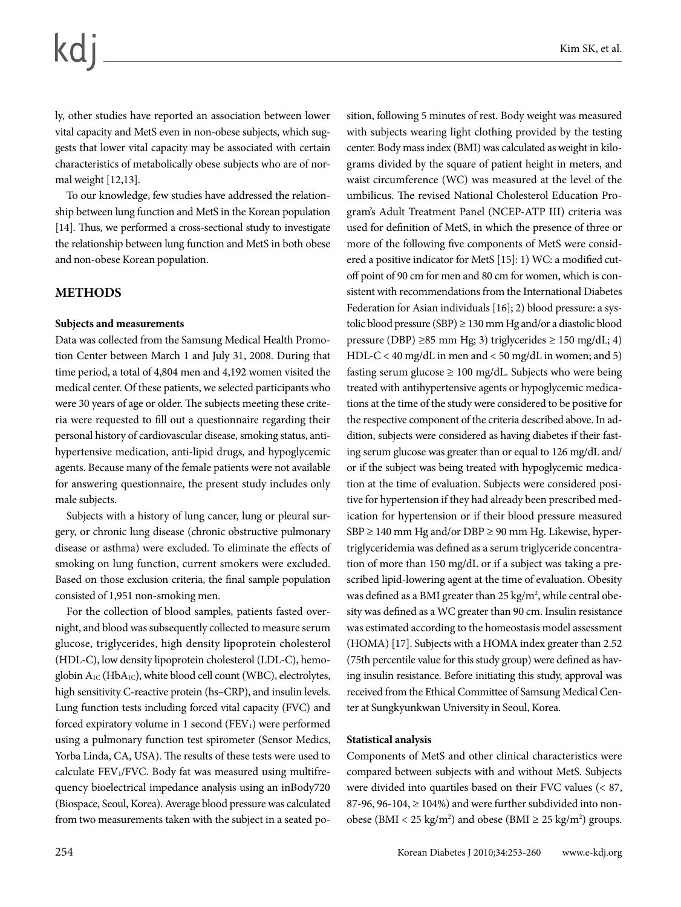ly, other studies have reported an association between lower vital capacity and MetS even in non-obese subjects, which suggests that lower vital capacity may be associated with certain characteristics of metabolically obese subjects who are of normal weight [12,13].

To our knowledge, few studies have addressed the relationship between lung function and MetS in the Korean population [14]. Thus, we performed a cross-sectional study to investigate the relationship between lung function and MetS in both obese and non-obese Korean population.

#### **METHODS**

#### **Subjects and measurements**

Data was collected from the Samsung Medical Health Promotion Center between March 1 and July 31, 2008. During that time period, a total of 4,804 men and 4,192 women visited the medical center. Of these patients, we selected participants who were 30 years of age or older. The subjects meeting these criteria were requested to fill out a questionnaire regarding their personal history of cardiovascular disease, smoking status, antihypertensive medication, anti-lipid drugs, and hypoglycemic agents. Because many of the female patients were not available for answering questionnaire, the present study includes only male subjects.

Subjects with a history of lung cancer, lung or pleural surgery, or chronic lung disease (chronic obstructive pulmonary disease or asthma) were excluded. To eliminate the effects of smoking on lung function, current smokers were excluded. Based on those exclusion criteria, the final sample population consisted of 1,951 non-smoking men.

For the collection of blood samples, patients fasted overnight, and blood was subsequently collected to measure serum glucose, triglycerides, high density lipoprotein cholesterol (HDL-C), low density lipoprotein cholesterol (LDL-C), hemoglobin A<sub>1C</sub> (HbA<sub>1C</sub>), white blood cell count (WBC), electrolytes, high sensitivity C-reactive protein (hs–CRP), and insulin levels. Lung function tests including forced vital capacity (FVC) and forced expiratory volume in 1 second  $(FEV<sub>1</sub>)$  were performed using a pulmonary function test spirometer (Sensor Medics, Yorba Linda, CA, USA). The results of these tests were used to calculate FEV1/FVC. Body fat was measured using multifrequency bioelectrical impedance analysis using an inBody720 (Biospace, Seoul, Korea). Average blood pressure was calculated from two measurements taken with the subject in a seated po-

sition, following 5 minutes of rest. Body weight was measured with subjects wearing light clothing provided by the testing center. Body mass index (BMI) was calculated as weight in kilograms divided by the square of patient height in meters, and waist circumference (WC) was measured at the level of the umbilicus. The revised National Cholesterol Education Program's Adult Treatment Panel (NCEP-ATP III) criteria was used for definition of MetS, in which the presence of three or more of the following five components of MetS were considered a positive indicator for MetS [15]: 1) WC: a modified cutoff point of 90 cm for men and 80 cm for women, which is consistent with recommendations from the International Diabetes Federation for Asian individuals [16]; 2) blood pressure: a systolic blood pressure (SBP) ≥ 130 mm Hg and/or a diastolic blood pressure (DBP) ≥85 mm Hg; 3) triglycerides ≥ 150 mg/dL; 4) HDL-C < 40 mg/dL in men and < 50 mg/dL in women; and 5) fasting serum glucose  $\geq 100$  mg/dL. Subjects who were being treated with antihypertensive agents or hypoglycemic medications at the time of the study were considered to be positive for the respective component of the criteria described above. In addition, subjects were considered as having diabetes if their fasting serum glucose was greater than or equal to 126 mg/dL and/ or if the subject was being treated with hypoglycemic medication at the time of evaluation. Subjects were considered positive for hypertension if they had already been prescribed medication for hypertension or if their blood pressure measured  $SBP \ge 140$  mm Hg and/or DBP  $\ge 90$  mm Hg. Likewise, hypertriglyceridemia was defined as a serum triglyceride concentration of more than 150 mg/dL or if a subject was taking a prescribed lipid-lowering agent at the time of evaluation. Obesity was defined as a BMI greater than 25 kg/m<sup>2</sup>, while central obesity was defined as a WC greater than 90 cm. Insulin resistance was estimated according to the homeostasis model assessment (HOMA) [17]. Subjects with a HOMA index greater than 2.52 (75th percentile value for this study group) were defined as having insulin resistance. Before initiating this study, approval was received from the Ethical Committee of Samsung Medical Center at Sungkyunkwan University in Seoul, Korea.

#### **Statistical analysis**

Components of MetS and other clinical characteristics were compared between subjects with and without MetS. Subjects were divided into quartiles based on their FVC values (< 87, 87-96, 96-104,  $\geq$  104%) and were further subdivided into nonobese (BMI <  $25 \text{ kg/m}^2$ ) and obese (BMI  $\geq 25 \text{ kg/m}^2$ ) groups.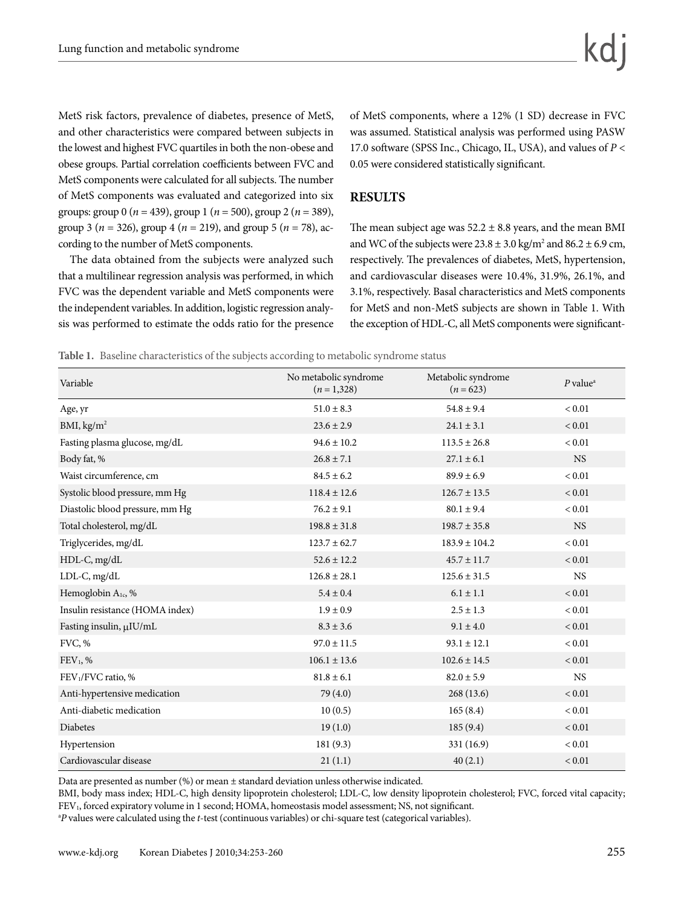MetS risk factors, prevalence of diabetes, presence of MetS, and other characteristics were compared between subjects in the lowest and highest FVC quartiles in both the non-obese and obese groups. Partial correlation coefficients between FVC and MetS components were calculated for all subjects. The number of MetS components was evaluated and categorized into six groups: group 0 (*n* = 439), group 1 (*n* = 500), group 2 (*n* = 389), group 3 ( $n = 326$ ), group 4 ( $n = 219$ ), and group 5 ( $n = 78$ ), according to the number of MetS components.

The data obtained from the subjects were analyzed such that a multilinear regression analysis was performed, in which FVC was the dependent variable and MetS components were the independent variables. In addition, logistic regression analysis was performed to estimate the odds ratio for the presence of MetS components, where a 12% (1 SD) decrease in FVC was assumed. Statistical analysis was performed using PASW 17.0 software (SPSS Inc., Chicago, IL, USA), and values of *P* < 0.05 were considered statistically significant.

#### **RESULTS**

The mean subject age was  $52.2 \pm 8.8$  years, and the mean BMI and WC of the subjects were  $23.8 \pm 3.0$  kg/m<sup>2</sup> and  $86.2 \pm 6.9$  cm, respectively. The prevalences of diabetes, MetS, hypertension, and cardiovascular diseases were 10.4%, 31.9%, 26.1%, and 3.1%, respectively. Basal characteristics and MetS components for MetS and non‐MetS subjects are shown in Table 1. With the exception of HDL-C, all MetS components were significant-

**Table 1.** Baseline characteristics of the subjects according to metabolic syndrome status

| Variable                        | No metabolic syndrome<br>$(n=1,328)$ | Metabolic syndrome<br>$(n = 623)$ | $P$ value <sup><math>a</math></sup> |
|---------------------------------|--------------------------------------|-----------------------------------|-------------------------------------|
| Age, yr                         | $51.0 \pm 8.3$                       | $54.8 \pm 9.4$                    | < 0.01                              |
| BMI, kg/m <sup>2</sup>          | $23.6 \pm 2.9$                       | $24.1 \pm 3.1$                    | ${}< 0.01$                          |
| Fasting plasma glucose, mg/dL   | $94.6 \pm 10.2$                      | $113.5 \pm 26.8$                  | ${}< 0.01$                          |
| Body fat, %                     | $26.8 \pm 7.1$                       | $27.1 \pm 6.1$                    | <b>NS</b>                           |
| Waist circumference, cm         | $84.5 \pm 6.2$                       | $89.9 \pm 6.9$                    | $< 0.01$                            |
| Systolic blood pressure, mm Hg  | $118.4 \pm 12.6$                     | $126.7 \pm 13.5$                  | ${}< 0.01$                          |
| Diastolic blood pressure, mm Hg | $76.2 \pm 9.1$                       | $80.1 \pm 9.4$                    | ${}< 0.01$                          |
| Total cholesterol, mg/dL        | $198.8 \pm 31.8$                     | $198.7 \pm 35.8$                  | <b>NS</b>                           |
| Triglycerides, mg/dL            | $123.7 \pm 62.7$                     | $183.9 \pm 104.2$                 | ${}< 0.01$                          |
| HDL-C, mg/dL                    | $52.6 \pm 12.2$                      | $45.7 \pm 11.7$                   | ${}< 0.01$                          |
| LDL-C, mg/dL                    | $126.8 \pm 28.1$                     | $125.6 \pm 31.5$                  | <b>NS</b>                           |
| Hemoglobin $A_{1c}$ , %         | $5.4 \pm 0.4$                        | $6.1 \pm 1.1$                     | ${}< 0.01$                          |
| Insulin resistance (HOMA index) | $1.9 \pm 0.9$                        | $2.5 \pm 1.3$                     | ${}< 0.01$                          |
| Fasting insulin, µIU/mL         | $8.3 \pm 3.6$                        | $9.1 \pm 4.0$                     | ${}< 0.01$                          |
| FVC, %                          | $97.0 \pm 11.5$                      | $93.1 \pm 12.1$                   | $< 0.01$                            |
| $FEV1, \%$                      | $106.1 \pm 13.6$                     | $102.6 \pm 14.5$                  | ${}< 0.01$                          |
| FEV <sub>1</sub> /FVC ratio, %  | $81.8 \pm 6.1$                       | $82.0 \pm 5.9$                    | <b>NS</b>                           |
| Anti-hypertensive medication    | 79 (4.0)                             | 268 (13.6)                        | ${}< 0.01$                          |
| Anti-diabetic medication        | 10(0.5)                              | 165(8.4)                          | ${}< 0.01$                          |
| <b>Diabetes</b>                 | 19(1.0)                              | 185(9.4)                          | ${}< 0.01$                          |
| Hypertension                    | 181(9.3)                             | 331 (16.9)                        | ${}< 0.01$                          |
| Cardiovascular disease          | 21(1.1)                              | 40(2.1)                           | ${}< 0.01$                          |

Data are presented as number (%) or mean ± standard deviation unless otherwise indicated.

BMI, body mass index; HDL-C, high density lipoprotein cholesterol; LDL-C, low density lipoprotein cholesterol; FVC, forced vital capacity; FEV1, forced expiratory volume in 1 second; HOMA, homeostasis model assessment; NS, not significant.

a *P* values were calculated using the *t*-test (continuous variables) or chi-square test (categorical variables).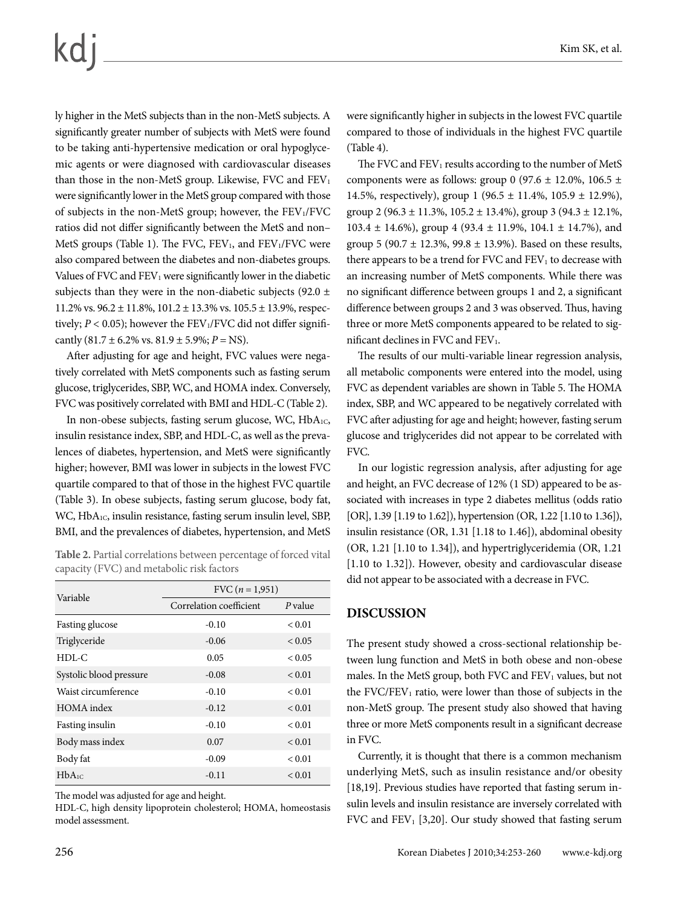ly higher in the MetS subjects than in the non‐MetS subjects. A significantly greater number of subjects with MetS were found to be taking anti‐hypertensive medication or oral hypoglycemic agents or were diagnosed with cardiovascular diseases than those in the non-MetS group. Likewise, FVC and  $FEV<sub>1</sub>$ were significantly lower in the MetS group compared with those of subjects in the non-MetS group; however, the FEV1/FVC ratios did not differ significantly between the MetS and non– MetS groups (Table 1). The FVC, FEV<sub>1</sub>, and FEV<sub>1</sub>/FVC were also compared between the diabetes and non‐diabetes groups. Values of FVC and  $FEV<sub>1</sub>$  were significantly lower in the diabetic subjects than they were in the non-diabetic subjects (92.0  $\pm$ 11.2% vs.  $96.2 \pm 11.8$ %,  $101.2 \pm 13.3$ % vs.  $105.5 \pm 13.9$ %, respectively;  $P < 0.05$ ); however the FEV<sub>1</sub>/FVC did not differ significantly  $(81.7 \pm 6.2\% \text{ vs. } 81.9 \pm 5.9\%; P = \text{NS}).$ 

After adjusting for age and height, FVC values were negatively correlated with MetS components such as fasting serum glucose, triglycerides, SBP, WC, and HOMA index. Conversely, FVC was positively correlated with BMI and HDL‐C (Table 2).

In non-obese subjects, fasting serum glucose, WC, HbA<sub>1C</sub>, insulin resistance index, SBP, and HDL‐C, as well as the prevalences of diabetes, hypertension, and MetS were significantly higher; however, BMI was lower in subjects in the lowest FVC quartile compared to that of those in the highest FVC quartile (Table 3). In obese subjects, fasting serum glucose, body fat, WC, HbA<sub>1C</sub>, insulin resistance, fasting serum insulin level, SBP, BMI, and the prevalences of diabetes, hypertension, and MetS

**Table 2.** Partial correlations between percentage of forced vital capacity (FVC) and metabolic risk factors

| Variable                | FVC $(n = 1,951)$       |               |  |  |
|-------------------------|-------------------------|---------------|--|--|
|                         | Correlation coefficient | $P$ value     |  |  |
| Fasting glucose         | $-0.10$                 | < 0.01        |  |  |
| Triglyceride            | $-0.06$                 | ${}_{0.05}$   |  |  |
| $HDL-C$                 | 0.05                    | < 0.05        |  |  |
| Systolic blood pressure | $-0.08$                 | < 0.01        |  |  |
| Waist circumference     | $-0.10$                 | < 0.01        |  |  |
| HOMA index              | $-0.12$                 | ${}_{0.01}$   |  |  |
| Fasting insulin         | $-0.10$                 | < 0.01        |  |  |
| Body mass index         | 0.07                    | < 0.01        |  |  |
| Body fat                | $-0.09$                 | < 0.01        |  |  |
| HbA <sub>1C</sub>       | $-0.11$                 | ${}_{< 0.01}$ |  |  |

The model was adjusted for age and height.

HDL-C, high density lipoprotein cholesterol; HOMA, homeostasis model assessment.

were significantly higher in subjects in the lowest FVC quartile compared to those of individuals in the highest FVC quartile (Table 4).

The FVC and  $FEV_1$  results according to the number of MetS components were as follows: group 0 (97.6  $\pm$  12.0%, 106.5  $\pm$ 14.5%, respectively), group 1 (96.5 ± 11.4%, 105.9 ± 12.9%), group 2 (96.3 ± 11.3%,  $105.2 \pm 13.4$ %), group 3 (94.3 ± 12.1%,  $103.4 \pm 14.6\%$ , group  $4(93.4 \pm 11.9\% , 104.1 \pm 14.7\%)$ , and group 5 (90.7  $\pm$  12.3%, 99.8  $\pm$  13.9%). Based on these results, there appears to be a trend for FVC and  $FEV<sub>1</sub>$  to decrease with an increasing number of MetS components. While there was no significant difference between groups 1 and 2, a significant difference between groups 2 and 3 was observed. Thus, having three or more MetS components appeared to be related to significant declines in FVC and FEV<sub>1</sub>.

The results of our multi-variable linear regression analysis, all metabolic components were entered into the model, using FVC as dependent variables are shown in Table 5. The HOMA index, SBP, and WC appeared to be negatively correlated with FVC after adjusting for age and height; however, fasting serum glucose and triglycerides did not appear to be correlated with FVC.

In our logistic regression analysis, after adjusting for age and height, an FVC decrease of 12% (1 SD) appeared to be associated with increases in type 2 diabetes mellitus (odds ratio [OR], 1.39 [1.19 to 1.62]), hypertension (OR, 1.22 [1.10 to 1.36]), insulin resistance (OR, 1.31 [1.18 to 1.46]), abdominal obesity (OR, 1.21 [1.10 to 1.34]), and hypertriglyceridemia (OR, 1.21 [1.10 to 1.32]). However, obesity and cardiovascular disease did not appear to be associated with a decrease in FVC.

#### **DISCUSSION**

The present study showed a cross-sectional relationship between lung function and MetS in both obese and non-obese males. In the MetS group, both FVC and FEV1 values, but not the  $FVC/FEV<sub>1</sub>$  ratio, were lower than those of subjects in the non-MetS group. The present study also showed that having three or more MetS components result in a significant decrease in FVC.

Currently, it is thought that there is a common mechanism underlying MetS, such as insulin resistance and/or obesity [18,19]. Previous studies have reported that fasting serum insulin levels and insulin resistance are inversely correlated with FVC and  $FEV<sub>1</sub>$  [3,20]. Our study showed that fasting serum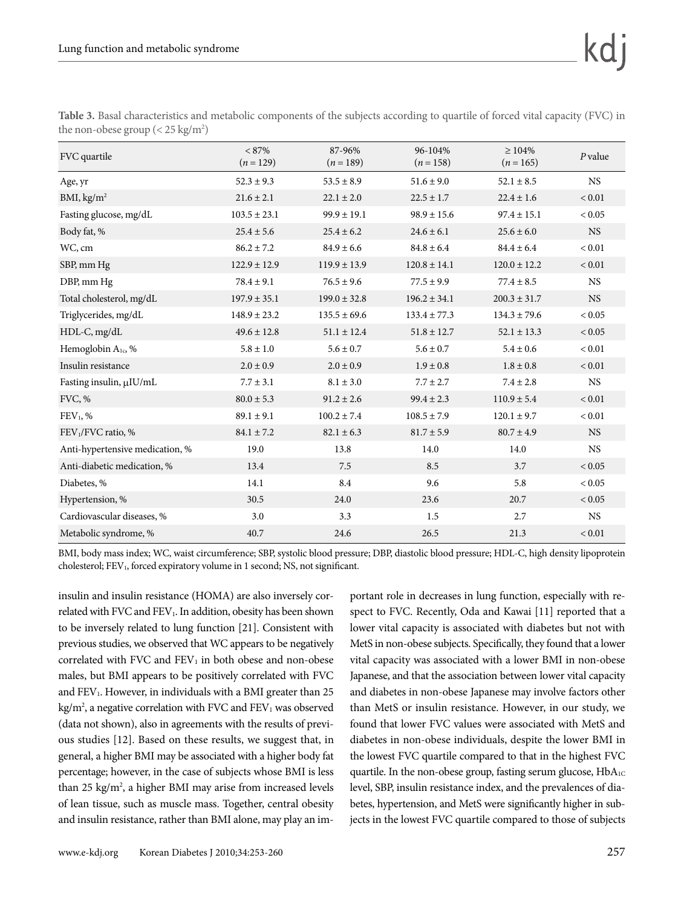| FVC quartile                    | $< 87\%$<br>$(n=129)$ | 87-96%<br>$(n=189)$ | 96-104%<br>$(n=158)$ | $\geq 104\%$<br>$(n = 165)$ | $P$ value     |
|---------------------------------|-----------------------|---------------------|----------------------|-----------------------------|---------------|
| Age, yr                         | $52.3 \pm 9.3$        | $53.5 \pm 8.9$      | $51.6 \pm 9.0$       | $52.1 \pm 8.5$              | <b>NS</b>     |
| BMI, kg/m <sup>2</sup>          | $21.6 \pm 2.1$        | $22.1 \pm 2.0$      | $22.5 \pm 1.7$       | $22.4 \pm 1.6$              | ${}_{< 0.01}$ |
| Fasting glucose, mg/dL          | $103.5 \pm 23.1$      | $99.9 \pm 19.1$     | $98.9 \pm 15.6$      | $97.4 \pm 15.1$             | < 0.05        |
| Body fat, %                     | $25.4 \pm 5.6$        | $25.4 \pm 6.2$      | $24.6 \pm 6.1$       | $25.6 \pm 6.0$              | <b>NS</b>     |
| WC, cm                          | $86.2 \pm 7.2$        | $84.9 \pm 6.6$      | $84.8\pm6.4$         | $84.4\pm6.4$                | < 0.01        |
| SBP, mm Hg                      | $122.9 \pm 12.9$      | $119.9 \pm 13.9$    | $120.8 \pm 14.1$     | $120.0 \pm 12.2$            | < 0.01        |
| DBP, mm Hg                      | $78.4 \pm 9.1$        | $76.5 \pm 9.6$      | $77.5 \pm 9.9$       | $77.4 \pm 8.5$              | <b>NS</b>     |
| Total cholesterol, mg/dL        | $197.9 \pm 35.1$      | $199.0 \pm 32.8$    | $196.2 \pm 34.1$     | $200.3 \pm 31.7$            | <b>NS</b>     |
| Triglycerides, mg/dL            | $148.9 \pm 23.2$      | $135.5 \pm 69.6$    | $133.4 \pm 77.3$     | $134.3 \pm 79.6$            | < 0.05        |
| HDL-C, mg/dL                    | $49.6 \pm 12.8$       | $51.1 \pm 12.4$     | $51.8 \pm 12.7$      | $52.1 \pm 13.3$             | < 0.05        |
| Hemoglobin A <sub>1c</sub> , %  | $5.8 \pm 1.0$         | $5.6 \pm 0.7$       | $5.6 \pm 0.7$        | $5.4 \pm 0.6$               | < 0.01        |
| Insulin resistance              | $2.0 \pm 0.9$         | $2.0 \pm 0.9$       | $1.9 \pm 0.8$        | $1.8 \pm 0.8$               | ${}< 0.01$    |
| Fasting insulin, µIU/mL         | $7.7 \pm 3.1$         | $8.1 \pm 3.0$       | $7.7 \pm 2.7$        | $7.4 \pm 2.8$               | <b>NS</b>     |
| FVC, %                          | $80.0 \pm 5.3$        | $91.2 \pm 2.6$      | $99.4 \pm 2.3$       | $110.9 \pm 5.4$             | < 0.01        |
| $FEV1$ , %                      | $89.1 \pm 9.1$        | $100.2 \pm 7.4$     | $108.5 \pm 7.9$      | $120.1 \pm 9.7$             | < 0.01        |
| FEV <sub>1</sub> /FVC ratio, %  | $84.1 \pm 7.2$        | $82.1 \pm 6.3$      | $81.7 \pm 5.9$       | $80.7 \pm 4.9$              | NS            |
| Anti-hypertensive medication, % | 19.0                  | 13.8                | 14.0                 | 14.0                        | <b>NS</b>     |
| Anti-diabetic medication, %     | 13.4                  | 7.5                 | 8.5                  | 3.7                         | < 0.05        |
| Diabetes, %                     | 14.1                  | 8.4                 | 9.6                  | 5.8                         | < 0.05        |
| Hypertension, %                 | 30.5                  | 24.0                | 23.6                 | 20.7                        | < 0.05        |
| Cardiovascular diseases, %      | 3.0                   | 3.3                 | 1.5                  | 2.7                         | <b>NS</b>     |
| Metabolic syndrome, %           | 40.7                  | 24.6                | 26.5                 | 21.3                        | < 0.01        |

**Table 3.** Basal characteristics and metabolic components of the subjects according to quartile of forced vital capacity (FVC) in the non-obese group ( $<$  25 kg/m<sup>2</sup>)

BMI, body mass index; WC, waist circumference; SBP, systolic blood pressure; DBP, diastolic blood pressure; HDL-C, high density lipoprotein cholesterol; FEV<sub>1</sub>, forced expiratory volume in 1 second; NS, not significant.

insulin and insulin resistance (HOMA) are also inversely correlated with FVC and FEV1. In addition, obesity has been shown to be inversely related to lung function [21]. Consistent with previous studies, we observed that WC appears to be negatively correlated with FVC and FEV<sub>1</sub> in both obese and non-obese males, but BMI appears to be positively correlated with FVC and  $FEV<sub>1</sub>$ . However, in individuals with a BMI greater than 25  $\text{kg/m}^2$ , a negative correlation with FVC and FEV<sub>1</sub> was observed (data not shown), also in agreements with the results of previous studies [12]. Based on these results, we suggest that, in general, a higher BMI may be associated with a higher body fat percentage; however, in the case of subjects whose BMI is less than 25 kg/m<sup>2</sup>, a higher BMI may arise from increased levels of lean tissue, such as muscle mass. Together, central obesity and insulin resistance, rather than BMI alone, may play an important role in decreases in lung function, especially with respect to FVC. Recently, Oda and Kawai [11] reported that a lower vital capacity is associated with diabetes but not with MetS in non-obese subjects. Specifically, they found that a lower vital capacity was associated with a lower BMI in non-obese Japanese, and that the association between lower vital capacity and diabetes in non-obese Japanese may involve factors other than MetS or insulin resistance. However, in our study, we found that lower FVC values were associated with MetS and diabetes in non-obese individuals, despite the lower BMI in the lowest FVC quartile compared to that in the highest FVC quartile. In the non-obese group, fasting serum glucose, HbA<sub>1C</sub> level, SBP, insulin resistance index, and the prevalences of diabetes, hypertension, and MetS were significantly higher in subjects in the lowest FVC quartile compared to those of subjects

kd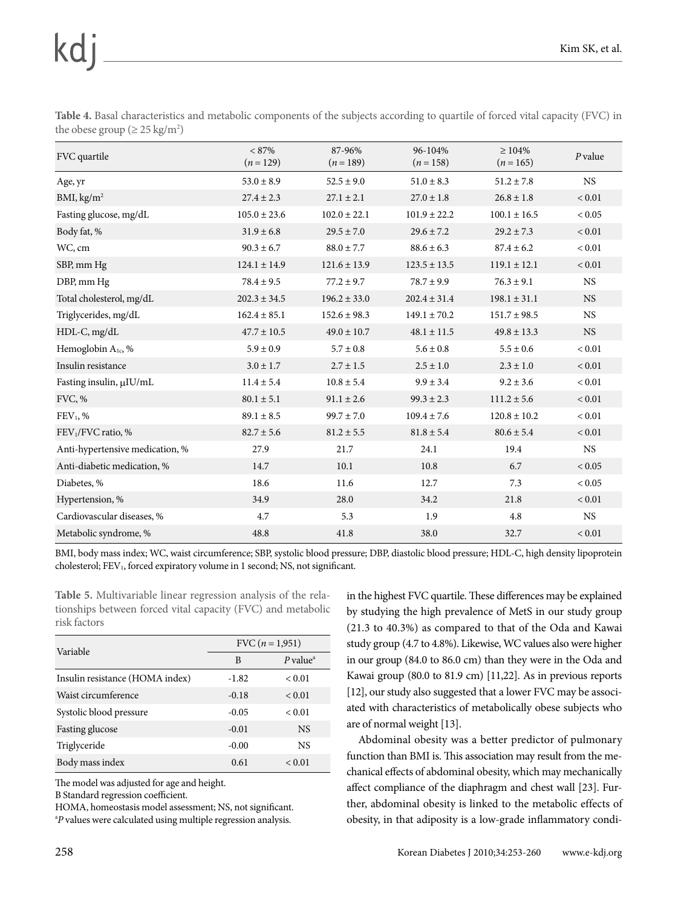| the obese group ( $\geq$ 25 kg/m <sup>2</sup> )                                                                                        |  |
|----------------------------------------------------------------------------------------------------------------------------------------|--|
| <b>Table 4.</b> Basal characteristics and metabolic components of the subjects according to quartile of forced vital capacity (FVC) in |  |

| FVC quartile                    | $< 87\%$<br>$(n=129)$ | 87-96%<br>$(n=189)$ | 96-104%<br>$(n=158)$ | $\geq 104\%$<br>$(n=165)$ | $P$ value     |
|---------------------------------|-----------------------|---------------------|----------------------|---------------------------|---------------|
| Age, yr                         | $53.0 \pm 8.9$        | $52.5 \pm 9.0$      | $51.0 \pm 8.3$       | $51.2 \pm 7.8$            | <b>NS</b>     |
| BMI, $\text{kg/m}^2$            | $27.4 \pm 2.3$        | $27.1 \pm 2.1$      | $27.0 \pm 1.8$       | $26.8 \pm 1.8$            | ${}< 0.01$    |
| Fasting glucose, mg/dL          | $105.0 \pm 23.6$      | $102.0 \pm 22.1$    | $101.9 \pm 22.2$     | $100.1 \pm 16.5$          | < 0.05        |
| Body fat, %                     | $31.9 \pm 6.8$        | $29.5 \pm 7.0$      | $29.6 \pm 7.2$       | $29.2 \pm 7.3$            | ${}_{< 0.01}$ |
| WC, cm                          | $90.3 \pm 6.7$        | $88.0 \pm 7.7$      | $88.6 \pm 6.3$       | $87.4 \pm 6.2$            | < 0.01        |
| SBP, mm Hg                      | $124.1 \pm 14.9$      | $121.6 \pm 13.9$    | $123.5 \pm 13.5$     | $119.1 \pm 12.1$          | ${}_{< 0.01}$ |
| DBP, mm Hg                      | $78.4 \pm 9.5$        | $77.2 \pm 9.7$      | $78.7 \pm 9.9$       | $76.3 \pm 9.1$            | <b>NS</b>     |
| Total cholesterol, mg/dL        | $202.3 \pm 34.5$      | $196.2 \pm 33.0$    | $202.4 \pm 31.4$     | $198.1 \pm 31.1$          | <b>NS</b>     |
| Triglycerides, mg/dL            | $162.4 \pm 85.1$      | $152.6 \pm 98.3$    | $149.1 \pm 70.2$     | $151.7 \pm 98.5$          | <b>NS</b>     |
| $HDL-C, mg/dL$                  | $47.7 \pm 10.5$       | $49.0 \pm 10.7$     | $48.1 \pm 11.5$      | $49.8 \pm 13.3$           | <b>NS</b>     |
| Hemoglobin A <sub>1c</sub> , %  | $5.9 \pm 0.9$         | $5.7 \pm 0.8$       | $5.6 \pm 0.8$        | $5.5 \pm 0.6$             | < 0.01        |
| Insulin resistance              | $3.0 \pm 1.7$         | $2.7 \pm 1.5$       | $2.5 \pm 1.0$        | $2.3 \pm 1.0$             | < 0.01        |
| Fasting insulin, µIU/mL         | $11.4 \pm 5.4$        | $10.8 \pm 5.4$      | $9.9 \pm 3.4$        | $9.2 \pm 3.6$             | < 0.01        |
| FVC, %                          | $80.1 \pm 5.1$        | $91.1 \pm 2.6$      | $99.3 \pm 2.3$       | $111.2 \pm 5.6$           | ${}_{< 0.01}$ |
| $FEV1$ , %                      | $89.1 \pm 8.5$        | $99.7 \pm 7.0$      | $109.4 \pm 7.6$      | $120.8 \pm 10.2$          | < 0.01        |
| FEV <sub>1</sub> /FVC ratio, %  | $82.7 \pm 5.6$        | $81.2 \pm 5.5$      | $81.8 \pm 5.4$       | $80.6 \pm 5.4$            | ${}< 0.01$    |
| Anti-hypertensive medication, % | 27.9                  | 21.7                | 24.1                 | 19.4                      | <b>NS</b>     |
| Anti-diabetic medication, %     | 14.7                  | 10.1                | 10.8                 | 6.7                       | < 0.05        |
| Diabetes, %                     | 18.6                  | 11.6                | 12.7                 | 7.3                       | < 0.05        |
| Hypertension, %                 | 34.9                  | 28.0                | 34.2                 | 21.8                      | < 0.01        |
| Cardiovascular diseases, %      | 4.7                   | 5.3                 | 1.9                  | 4.8                       | <b>NS</b>     |
| Metabolic syndrome, %           | 48.8                  | 41.8                | 38.0                 | 32.7                      | < 0.01        |

BMI, body mass index; WC, waist circumference; SBP, systolic blood pressure; DBP, diastolic blood pressure; HDL-C, high density lipoprotein cholesterol; FEV<sub>1</sub>, forced expiratory volume in 1 second; NS, not significant.

**Table 5.** Multivariable linear regression analysis of the relationships between forced vital capacity (FVC) and metabolic risk factors

| Variable                        | FVC $(n = 1,951)$ |                        |  |
|---------------------------------|-------------------|------------------------|--|
|                                 | B                 | $P$ value <sup>a</sup> |  |
| Insulin resistance (HOMA index) | $-1.82$           | < 0.01                 |  |
| Waist circumference             | $-0.18$           | < 0.01                 |  |
| Systolic blood pressure         | $-0.05$           | < 0.01                 |  |
| Fasting glucose                 | $-0.01$           | <b>NS</b>              |  |
| Triglyceride                    | $-0.00$           | <b>NS</b>              |  |
| Body mass index                 | 0.61              | < 0.01                 |  |

The model was adjusted for age and height.

B Standard regression coefficient.

HOMA, homeostasis model assessment; NS, not significant. <sup>a</sup>P values were calculated using multiple regression analysis.

in the highest FVC quartile. These differences may be explained by studying the high prevalence of MetS in our study group (21.3 to 40.3%) as compared to that of the Oda and Kawai study group (4.7 to 4.8%). Likewise, WC values also were higher in our group (84.0 to 86.0 cm) than they were in the Oda and Kawai group (80.0 to 81.9 cm) [11,22]. As in previous reports [12], our study also suggested that a lower FVC may be associated with characteristics of metabolically obese subjects who are of normal weight [13].

Abdominal obesity was a better predictor of pulmonary function than BMI is. This association may result from the mechanical effects of abdominal obesity, which may mechanically affect compliance of the diaphragm and chest wall [23]. Further, abdominal obesity is linked to the metabolic effects of obesity, in that adiposity is a low-grade inflammatory condi-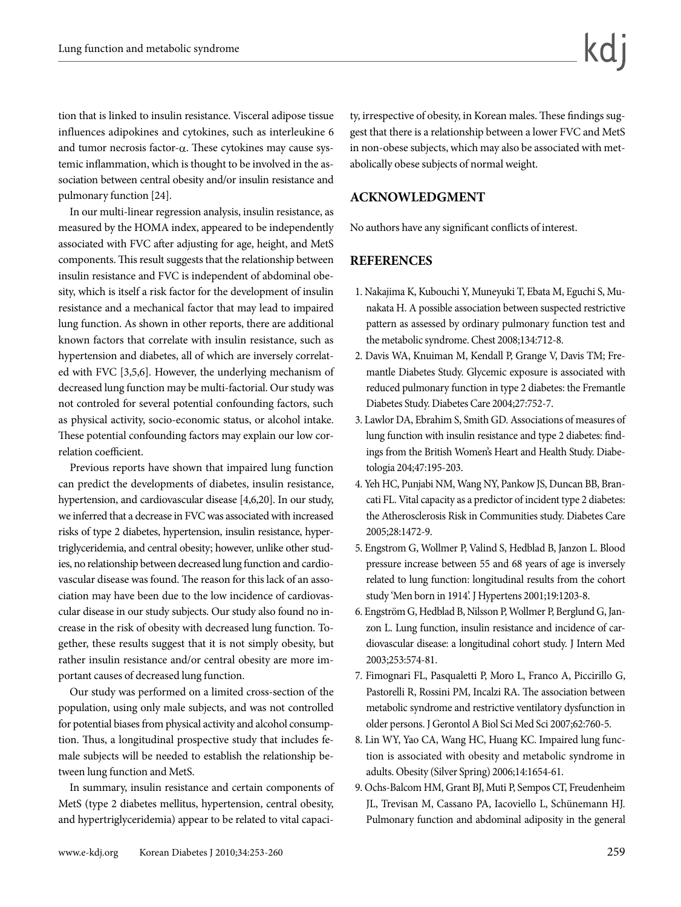tion that is linked to insulin resistance. Visceral adipose tissue influences adipokines and cytokines, such as interleukine 6 and tumor necrosis factor- $\alpha$ . These cytokines may cause systemic inflammation, which is thought to be involved in the association between central obesity and/or insulin resistance and pulmonary function [24].

In our multi-linear regression analysis, insulin resistance, as measured by the HOMA index, appeared to be independently associated with FVC after adjusting for age, height, and MetS components. This result suggests that the relationship between insulin resistance and FVC is independent of abdominal obesity, which is itself a risk factor for the development of insulin resistance and a mechanical factor that may lead to impaired lung function. As shown in other reports, there are additional known factors that correlate with insulin resistance, such as hypertension and diabetes, all of which are inversely correlated with FVC [3,5,6]. However, the underlying mechanism of decreased lung function may be multi-factorial. Our study was not controled for several potential confounding factors, such as physical activity, socio-economic status, or alcohol intake. These potential confounding factors may explain our low correlation coefficient.

Previous reports have shown that impaired lung function can predict the developments of diabetes, insulin resistance, hypertension, and cardiovascular disease [4,6,20]. In our study, we inferred that a decrease in FVC was associated with increased risks of type 2 diabetes, hypertension, insulin resistance, hypertriglyceridemia, and central obesity; however, unlike other studies, no relationship between decreased lung function and cardiovascular disease was found. The reason for this lack of an association may have been due to the low incidence of cardiovascular disease in our study subjects. Our study also found no increase in the risk of obesity with decreased lung function. Together, these results suggest that it is not simply obesity, but rather insulin resistance and/or central obesity are more important causes of decreased lung function.

Our study was performed on a limited cross-section of the population, using only male subjects, and was not controlled for potential biases from physical activity and alcohol consumption. Thus, a longitudinal prospective study that includes female subjects will be needed to establish the relationship between lung function and MetS.

In summary, insulin resistance and certain components of MetS (type 2 diabetes mellitus, hypertension, central obesity, and hypertriglyceridemia) appear to be related to vital capacity, irrespective of obesity, in Korean males. These findings suggest that there is a relationship between a lower FVC and MetS in non-obese subjects, which may also be associated with metabolically obese subjects of normal weight.

### **ACKNOWLEDGMENT**

No authors have any significant conflicts of interest.

#### **REFERENCES**

- 1. Nakajima K, Kubouchi Y, Muneyuki T, Ebata M, Eguchi S, Munakata H. A possible association between suspected restrictive pattern as assessed by ordinary pulmonary function test and the metabolic syndrome. Chest 2008;134:712-8.
- 2. Davis WA, Knuiman M, Kendall P, Grange V, Davis TM; Fremantle Diabetes Study. Glycemic exposure is associated with reduced pulmonary function in type 2 diabetes: the Fremantle Diabetes Study. Diabetes Care 2004;27:752-7.
- 3. Lawlor DA, Ebrahim S, Smith GD. Associations of measures of lung function with insulin resistance and type 2 diabetes: findings from the British Women's Heart and Health Study. Diabetologia 204;47:195-203.
- 4. Yeh HC, Punjabi NM, Wang NY, Pankow JS, Duncan BB, Brancati FL. Vital capacity as a predictor of incident type 2 diabetes: the Atherosclerosis Risk in Communities study. Diabetes Care 2005;28:1472-9.
- 5. Engstrom G, Wollmer P, Valind S, Hedblad B, Janzon L. Blood pressure increase between 55 and 68 years of age is inversely related to lung function: longitudinal results from the cohort study 'Men born in 1914'. J Hypertens 2001;19:1203-8.
- 6. Engström G, Hedblad B, Nilsson P, Wollmer P, Berglund G, Janzon L. Lung function, insulin resistance and incidence of cardiovascular disease: a longitudinal cohort study. J Intern Med 2003;253:574-81.
- 7. Fimognari FL, Pasqualetti P, Moro L, Franco A, Piccirillo G, Pastorelli R, Rossini PM, Incalzi RA. The association between metabolic syndrome and restrictive ventilatory dysfunction in older persons. J Gerontol A Biol Sci Med Sci 2007;62:760-5.
- 8. Lin WY, Yao CA, Wang HC, Huang KC. Impaired lung function is associated with obesity and metabolic syndrome in adults. Obesity (Silver Spring) 2006;14:1654-61.
- 9. Ochs-Balcom HM, Grant BJ, Muti P, Sempos CT, Freudenheim JL, Trevisan M, Cassano PA, Iacoviello L, Schünemann HJ. Pulmonary function and abdominal adiposity in the general